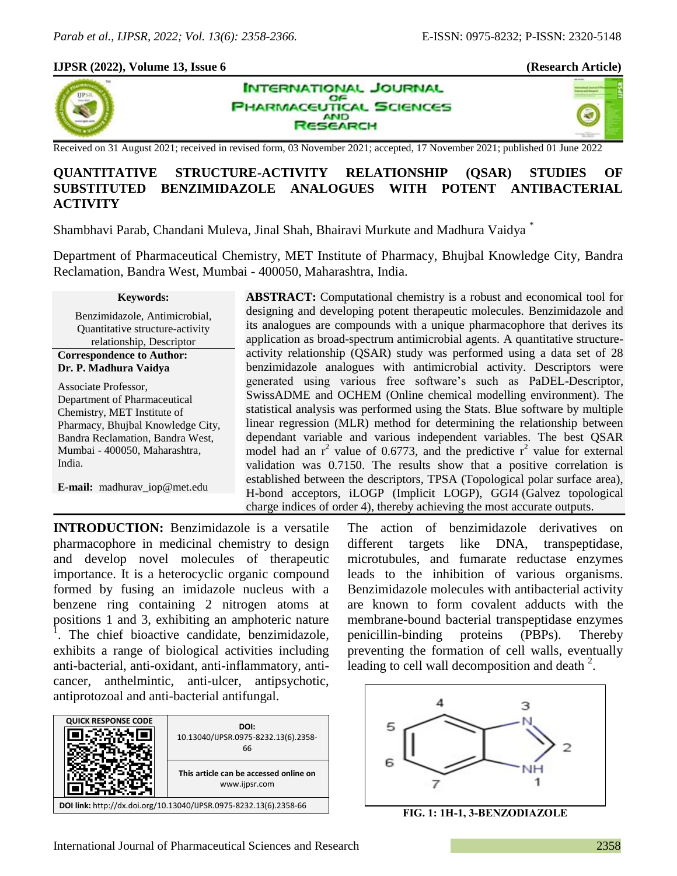## **IJPSR (2022), Volume 13, Issue 6 (Research Article)**



**INTERNATIONAL JOURNAL** OF **HARMACEUTICAL SCIENCES AND** SEARCH



Received on 31 August 2021; received in revised form, 03 November 2021; accepted, 17 November 2021; published 01 June 2022

# **QUANTITATIVE STRUCTURE-ACTIVITY RELATIONSHIP (QSAR) STUDIES OF SUBSTITUTED BENZIMIDAZOLE ANALOGUES WITH POTENT ANTIBACTERIAL ACTIVITY**

Shambhavi Parab, Chandani Muleva, Jinal Shah, Bhairavi Murkute and Madhura Vaidya \*

Department of Pharmaceutical Chemistry, MET Institute of Pharmacy, Bhujbal Knowledge City, Bandra Reclamation, Bandra West, Mumbai - 400050, Maharashtra, India.

#### **Keywords:**

Benzimidazole, Antimicrobial, Quantitative structure-activity relationship, Descriptor

### **Correspondence to Author: Dr. P. Madhura Vaidya**

Associate Professor, Department of Pharmaceutical Chemistry, MET Institute of Pharmacy, Bhujbal Knowledge City, Bandra Reclamation, Bandra West, Mumbai - 400050, Maharashtra, India.

**E-mail:** madhurav\_iop@met.edu

**ABSTRACT:** Computational chemistry is a robust and economical tool for designing and developing potent therapeutic molecules. Benzimidazole and its analogues are compounds with a unique pharmacophore that derives its application as broad-spectrum antimicrobial agents. A quantitative structureactivity relationship (QSAR) study was performed using a data set of 28 benzimidazole analogues with antimicrobial activity. Descriptors were generated using various free software's such as PaDEL-Descriptor, SwissADME and OCHEM (Online chemical modelling environment). The statistical analysis was performed using the Stats. Blue software by multiple linear regression (MLR) method for determining the relationship between dependant variable and various independent variables. The best QSAR model had an  $r^2$  value of 0.6773, and the predictive  $r^2$  value for external validation was 0.7150. The results show that a positive correlation is established between the descriptors, TPSA (Topological polar surface area), H-bond acceptors, iLOGP (Implicit LOGP), GGI4 (Galvez topological charge indices of order 4), thereby achieving the most accurate outputs.

**INTRODUCTION:** Benzimidazole is a versatile pharmacophore in medicinal chemistry to design and develop novel molecules of therapeutic importance. It is a heterocyclic organic compound formed by fusing an imidazole nucleus with a benzene ring containing 2 nitrogen atoms at positions 1 and 3, exhibiting an amphoteric nature 1 . The chief bioactive candidate, benzimidazole, exhibits a range of biological activities including anti-bacterial, anti-oxidant, anti-inflammatory, anticancer, anthelmintic, anti-ulcer, antipsychotic, antiprotozoal and anti-bacterial antifungal.



The action of benzimidazole derivatives on different targets like DNA, transpeptidase, microtubules, and fumarate reductase enzymes leads to the inhibition of various organisms. Benzimidazole molecules with antibacterial activity are known to form covalent adducts with the membrane-bound bacterial transpeptidase enzymes penicillin-binding proteins (PBPs). Thereby preventing the formation of cell walls, eventually leading to cell wall decomposition and death  $2$ .



**FIG. 1: 1H‐1, 3‐BENZODIAZOLE**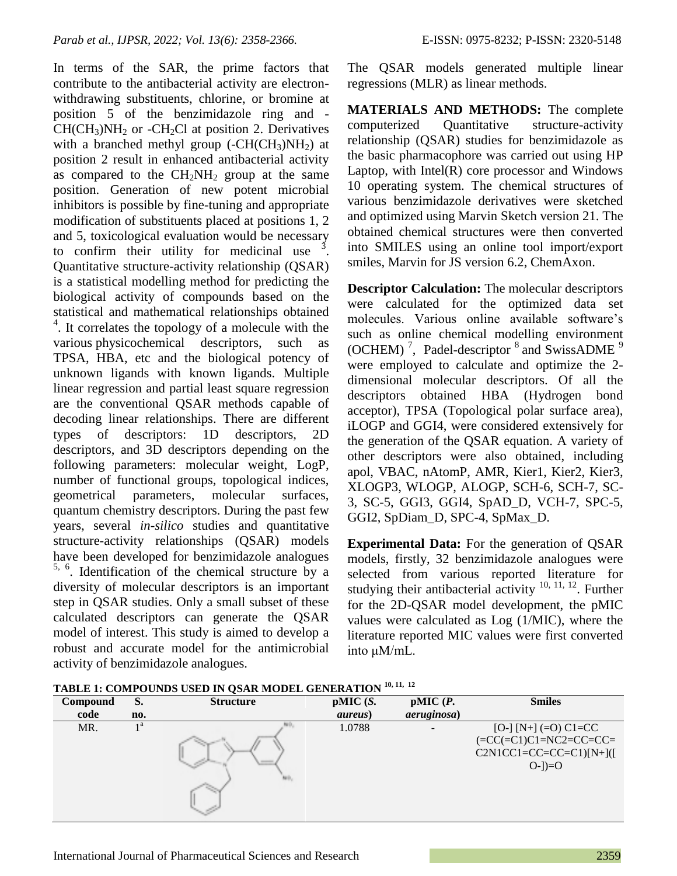In terms of the SAR, the prime factors that contribute to the antibacterial activity are electronwithdrawing substituents, chlorine, or bromine at position 5 of the benzimidazole ring and -  $CH(CH<sub>3</sub>)NH<sub>2</sub>$  or -CH<sub>2</sub>Cl at position 2. Derivatives with a branched methyl group  $(-CH(CH<sub>3</sub>)NH<sub>2</sub>)$  at position 2 result in enhanced antibacterial activity as compared to the  $CH<sub>2</sub>NH<sub>2</sub>$  group at the same position. Generation of new potent microbial inhibitors is possible by fine-tuning and appropriate modification of substituents placed at positions 1, 2 and 5, toxicological evaluation would be necessary to confirm their utility for medicinal use  $\frac{3}{2}$ . Quantitative structure-activity relationship (QSAR) is a statistical modelling method for predicting the biological activity of compounds based on the statistical and mathematical relationships obtained <sup>4</sup>. It correlates the topology of a molecule with the various physicochemical descriptors, such as TPSA, HBA, etc and the biological potency of unknown ligands with known ligands. Multiple linear regression and partial least square regression are the conventional QSAR methods capable of decoding linear relationships. There are different types of descriptors: 1D descriptors, 2D descriptors, and 3D descriptors depending on the following parameters: molecular weight, LogP, number of functional groups, topological indices, geometrical parameters, molecular surfaces, quantum chemistry descriptors. During the past few years, several *in-silico* studies and quantitative structure-activity relationships (QSAR) models have been developed for benzimidazole analogues 5, 6 . Identification of the chemical structure by a diversity of molecular descriptors is an important step in QSAR studies. Only a small subset of these calculated descriptors can generate the QSAR model of interest. This study is aimed to develop a robust and accurate model for the antimicrobial activity of benzimidazole analogues.

The QSAR models generated multiple linear regressions (MLR) as linear methods.

**MATERIALS AND METHODS:** The complete computerized Quantitative structure-activity relationship (QSAR) studies for benzimidazole as the basic pharmacophore was carried out using HP Laptop, with  $Intel(R)$  core processor and Windows 10 operating system. The chemical structures of various benzimidazole derivatives were sketched and optimized using Marvin Sketch version 21. The obtained chemical structures were then converted into SMILES using an online tool import/export smiles, Marvin for JS version 6.2, ChemAxon.

**Descriptor Calculation:** The molecular descriptors were calculated for the optimized data set molecules. Various online available software's such as online chemical modelling environment (OCHEM)<sup>7</sup>, Padel-descriptor  $8$  and SwissADME<sup>9</sup> were employed to calculate and optimize the 2 dimensional molecular descriptors. Of all the descriptors obtained HBA (Hydrogen bond acceptor), TPSA (Topological polar surface area), iLOGP and GGI4, were considered extensively for the generation of the QSAR equation. A variety of other descriptors were also obtained, including apol, VBAC, nAtomP, AMR, Kier1, Kier2, Kier3, XLOGP3, WLOGP, ALOGP, SCH-6, SCH-7, SC-3, SC-5, GGI3, GGI4, SpAD\_D, VCH-7, SPC-5, GGI2, SpDiam\_D, SPC-4, SpMax\_D.

**Experimental Data:** For the generation of QSAR models, firstly, 32 benzimidazole analogues were selected from various reported literature for studying their antibacterial activity  $10, 11, 12$ . Further for the 2D-QSAR model development, the pMIC values were calculated as Log (1/MIC), where the literature reported MIC values were first converted into μM/mL.

| <b>TABLE 1: COMPOUNDS USED IN QSAR MODEL GENERATION</b> 10, 11, 12 |  |
|--------------------------------------------------------------------|--|
|--------------------------------------------------------------------|--|

| Compound | S.             | <b>Structure</b>  | pMIC(S.         | pMIC(P.             | <b>Smiles</b>            |
|----------|----------------|-------------------|-----------------|---------------------|--------------------------|
| code     | no.            |                   | <i>aureus</i> ) | <i>aeruginosa</i> ) |                          |
| MR.      | 1 <sup>a</sup> |                   | 1.0788          | -                   | $[O-] [N+] (=O) C1=CC$   |
|          |                |                   |                 |                     | $=CC (=C1)C1=NC2=CC=CC=$ |
|          |                |                   |                 |                     | $C2N1CC1=CC=CC=CI)[N+]($ |
|          |                | <b>STATISTICS</b> |                 |                     | $O-$ ])= $O$             |
|          |                | us,               |                 |                     |                          |
|          |                |                   |                 |                     |                          |
|          |                |                   |                 |                     |                          |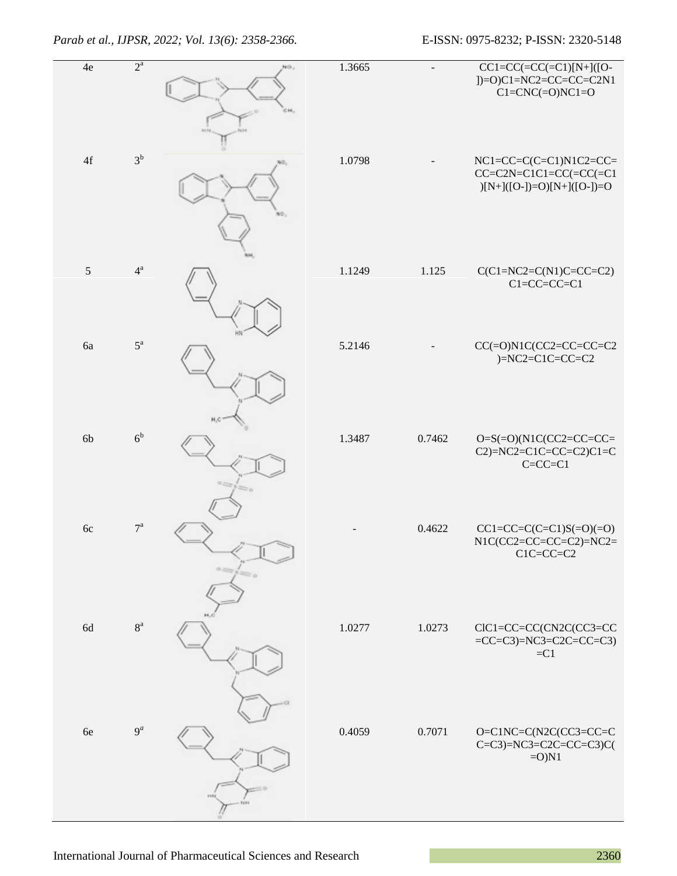| 4e            | $2^{\mathrm{a}}$ | NO <sub>2</sub><br>CH, | 1.3665 |        | $CC1=CC(=CC(=C1)[N+](O-$<br>$]$ =O)C1=NC2=CC=CC=C2N1<br>$Cl=CNC(=O)NC1=O$            |
|---------------|------------------|------------------------|--------|--------|--------------------------------------------------------------------------------------|
| $4\mathrm{f}$ | $3^b$            |                        | 1.0798 |        | $NC1=CC=C(C=Cl)N1C2=CC=$<br>$CC=C2N=ClC1=CC(=CC(=C1$<br>$)[N+]([O-])=O)[N+]([O-])=O$ |
| $\sqrt{5}$    | $4^{\mathrm{a}}$ |                        | 1.1249 | 1.125  | $C(C1=NC2=C(N1)C=CC=C2)$<br>$C1 = CC = CC = C1$                                      |
| 6a            | $5^{\rm a}$      |                        | 5.2146 |        | $CC(=O)N1C(CC2=CC=CC=CC$<br>$)=NC2=ClC=CC=C2$                                        |
| 6b            | 6 <sup>b</sup>   |                        | 1.3487 | 0.7462 | $O=S(=O)(N1C(CC2=CC=CC=$<br>$C2$ )=NC2=C1C=CC=C2)C1=C<br>$C=C=C=Cl$                  |
| 6c            | $7^{\mathrm{a}}$ |                        |        | 0.4622 | $CC1 = CC = C(C = C1)S(=O)(=O)$<br>$N1C(CC2=CC=CC=C2)=NC2=$<br>$C1C=CC=C2$           |
| 6d            | $8^{\rm a}$      |                        | 1.0277 | 1.0273 | CIC1=CC=CC(CN2C(CC3=CC<br>$=CC=C3$ )=NC3=C2C=CC=C3)<br>$=C1$                         |
| 6e            | $9^a$            | H                      | 0.4059 | 0.7071 | O=C1NC=C(N2C(CC3=CC=C<br>$C=C3$ )=NC3=C2C=CC=C3)C(<br>$=O$ ) $N1$                    |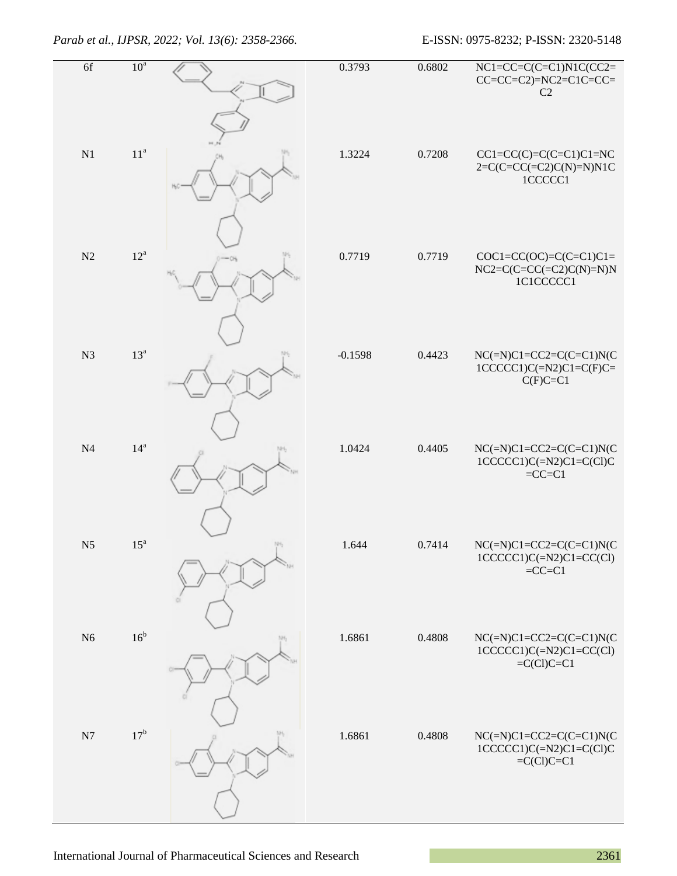| 6f             | 10 <sup>a</sup>   |                | 0.3793    | 0.6802 | $NC1=CC=C(C=Cl)N1C(CC2=$<br>$CC=CC=C2)=NC2=C1C=CC=$<br>C2                     |
|----------------|-------------------|----------------|-----------|--------|-------------------------------------------------------------------------------|
| N1             | 11 <sup>a</sup>   |                | 1.3224    | 0.7208 | $CC1=CC(C)=C(C=C1)C1=NC$<br>$2=C(C=CC)=(C2)C(N)=N)N1C$<br>1CCCCC1             |
| N2             | $12^a$            |                | 0.7719    | 0.7719 | $COC1 = CC(OC) = C(C = C1)C1 =$<br>$NC2=C(C=CC(=C2)C(N)=N)N$<br>1C1CCCCC1     |
| N <sub>3</sub> | $13^a$            |                | $-0.1598$ | 0.4423 | $NC(=N)C1=CC2=C(C=Cl)N(C)$<br>$1CCCCC1)C(=N2)C1=C(F)C=$<br>$C(F)C=C1$         |
| N <sub>4</sub> | $14^{\mathrm{a}}$ | $\mathbb{M}^2$ | 1.0424    | 0.4405 | $NC(=N)C1=CC2=C(C=Cl)N(C)$<br>$1CCCCC1)C(=N2)C1=C(C1)C$<br>$=CC=Cl$           |
| N <sub>5</sub> | $15^{\rm a}$      | $101 -$        | 1.644     | 0.7414 | $NC(=N)C1=CC2=C(C=Cl)N(C)$<br>$1CCCCC1)C(=N2)C1=CC(Cl)$<br>$=CC=Cl$           |
| N <sub>6</sub> | 16 <sup>b</sup>   |                | 1.6861    | 0.4808 | $NC(=\nN)Cl = CC2 = C(C=Cl)N(C)$<br>$1CCCCC1)C(=N2)C1=CC(C1)$<br>$=C(Cl)C=Cl$ |
| N7             | $17^{\rm b}$      |                | 1.6861    | 0.4808 | $NC(=N)C1=CC2=C(C=Cl)N(C)$<br>$1CCCCC1)C(=N2)C1=C(C1)C$<br>$=C(Cl)C=Cl$       |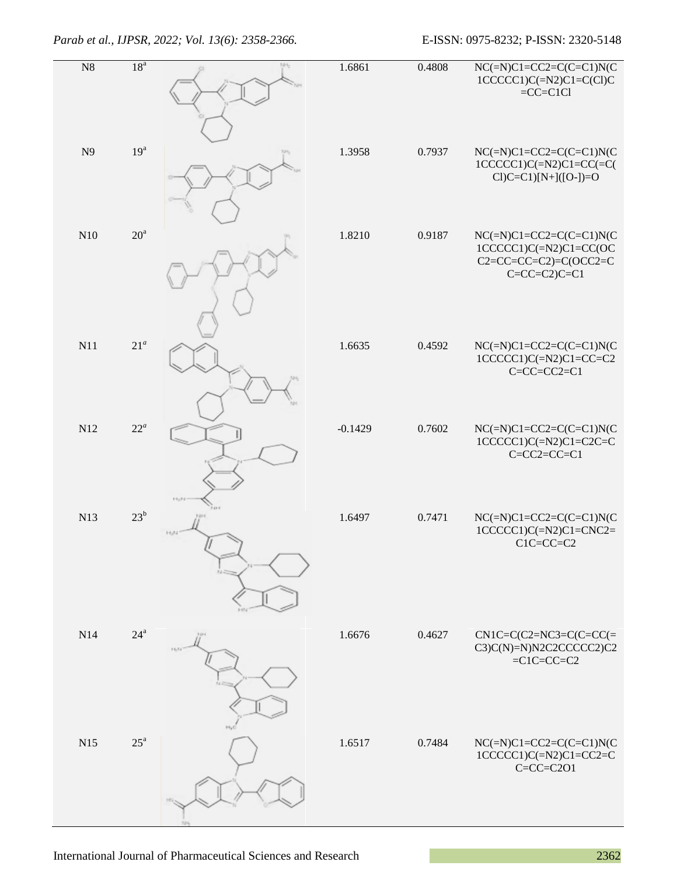| N8             | 18 <sup>a</sup>   | NH. | 1.6861    | 0.4808 | $NC(=\overline{N})C1=C2=C(C=C1)N(C$<br>$1CCCCC1)C(=N2)C1=C(C1)C$<br>$=CC=ClCl$                                    |
|----------------|-------------------|-----|-----------|--------|-------------------------------------------------------------------------------------------------------------------|
| N <sub>9</sub> | 19 <sup>a</sup>   |     | 1.3958    | 0.7937 | $NC(=N)C1=CC2=C(C=C1)N(C$<br>$1CCCCC1)C(=N2)C1=CC(=C($<br>$Cl$ ) $C=Cl$ ) $[N+]([O-)$ $=O$                        |
| N10            | $20^{\rm a}$      |     | 1.8210    | 0.9187 | $NC(=N)C1=CC2=C(C=Cl)N(C)$<br>$1CCCCC1)C(=N2)C1=CC(OC$<br>$C2 = CC = CC = C2$ )= $C$ (OCC2=C<br>$C=C=C=C2$ $C=C1$ |
| N11            | $21^a$            |     | 1.6635    | 0.4592 | $NC(=N)C1=CC2=C(C=Cl)N(C)$<br>$1CCCCC1)C(=N2)C1=CC=C2$<br>$C=C-C-C2=C1$                                           |
| N12            | $22^a$            |     | $-0.1429$ | 0.7602 | $NC(=N)C1=CC2=C(C=C1)N(C$<br>$1CCCCC1)C(=N2)C1=C2C=C$<br>$C=CC2=CC=Cl$                                            |
| N13            | 23 <sup>b</sup>   |     | 1.6497    | 0.7471 | $NC(=N)C1=CC2=C(C=Cl)N(C$<br>$1CCCCC1)C(=N2)C1=CNC2=$<br>$C1C=CC=C2$                                              |
| N14            | $24^{\mathrm{a}}$ |     | 1.6676    | 0.4627 | $CN1C=C(C2=NC3=C(C=CC)=$<br>$C3)C(N)=N)N2C2CCCCC2)C2$<br>$=C1C=CC=C2$                                             |
| N15            | $25^{\mathrm{a}}$ |     | 1.6517    | 0.7484 | $NC(=N)C1=CC2=C(C=Cl)N(C$<br>$1CCCCC1)C(=\text{N2})C1=CC2=C$<br>$C=C=C=C2O1$                                      |

International Journal of Pharmaceutical Sciences and Research 2362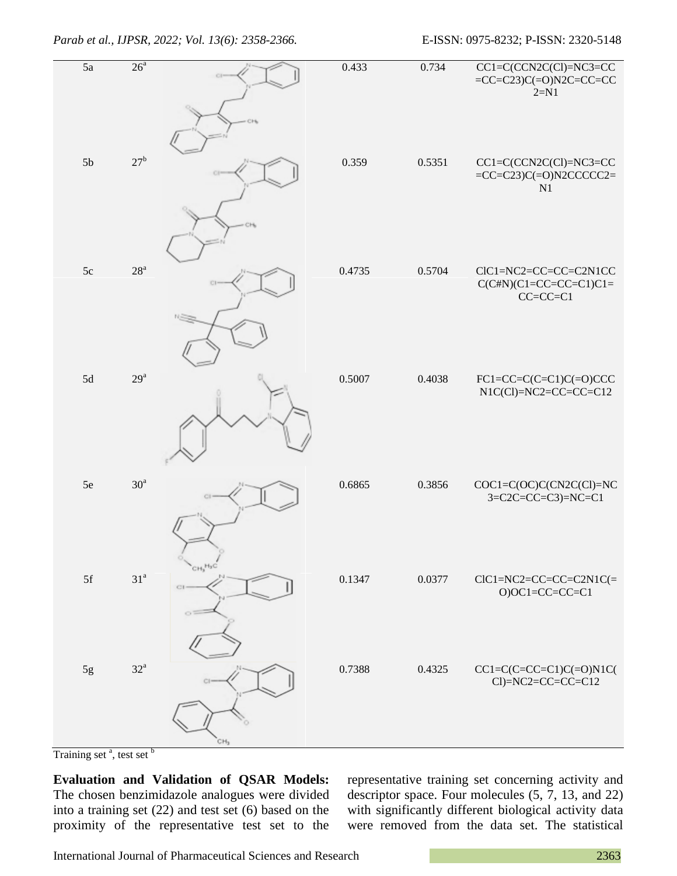### *Parab et al., IJPSR, 2022; Vol. 13(6): 2358-2366.* E-ISSN: 0975-8232; P-ISSN: 2320-5148

| $\overline{5a}$ | 26 <sup>a</sup>   |                                        | 0.433  | 0.734  | $CC1=C(CCN2C(Cl)=NC3=CC$<br>$=CC=C23$ ) $C(=O)N2C=CC=CC$<br>$2 = N1$ |
|-----------------|-------------------|----------------------------------------|--------|--------|----------------------------------------------------------------------|
| 5 <sub>b</sub>  | $27^{\rm b}$      |                                        | 0.359  | 0.5351 | $CC1=C(CCN2C(CI)=NC3=CC$<br>$=CC=C23$ ) $C(=O)N2CCCCC2=$<br>N1       |
| 5c              | 28 <sup>a</sup>   |                                        | 0.4735 | 0.5704 | CIC1=NC2=CC=CC=C2N1CC<br>$C(C#N)(C1=CC=CC=C1)C1=$<br>$CC=CC=Cl$      |
| $5d$            | $29^{\rm a}$      |                                        | 0.5007 | 0.4038 | $FC1=CC=C(C=C1)C(=O)CCC$<br>$N1C(Cl)=NC2=CC=CC=Cl2$                  |
| 5e              | 30 <sup>a</sup>   |                                        | 0.6865 | 0.3856 | COC1=C(OC)C(CN2C(Cl)=NC<br>$3 = C2C = CC = C3$ =NC=C1                |
| $5f$            | $31^{\rm a}$      | CH <sub>2</sub> H <sub>2</sub> C<br>CI | 0.1347 | 0.0377 | $ClC1 = NC2 = CC = CC = C2N1C$<br>$O)OC1 = CC = CC = C1$             |
| $5g$            | $32^{\mathrm{a}}$ | cн.                                    | 0.7388 | 0.4325 | $CC1=C(C=CC=C1)C(=O)N1C($<br>$Cl$ )=NC2=CC=CC=C12                    |

Training set<sup>a</sup>, test set<sup>b</sup>

**Evaluation and Validation of QSAR Models:** The chosen benzimidazole analogues were divided into a training set (22) and test set (6) based on the proximity of the representative test set to the

representative training set concerning activity and descriptor space. Four molecules (5, 7, 13, and 22) with significantly different biological activity data were removed from the data set. The statistical

International Journal of Pharmaceutical Sciences and Research 2363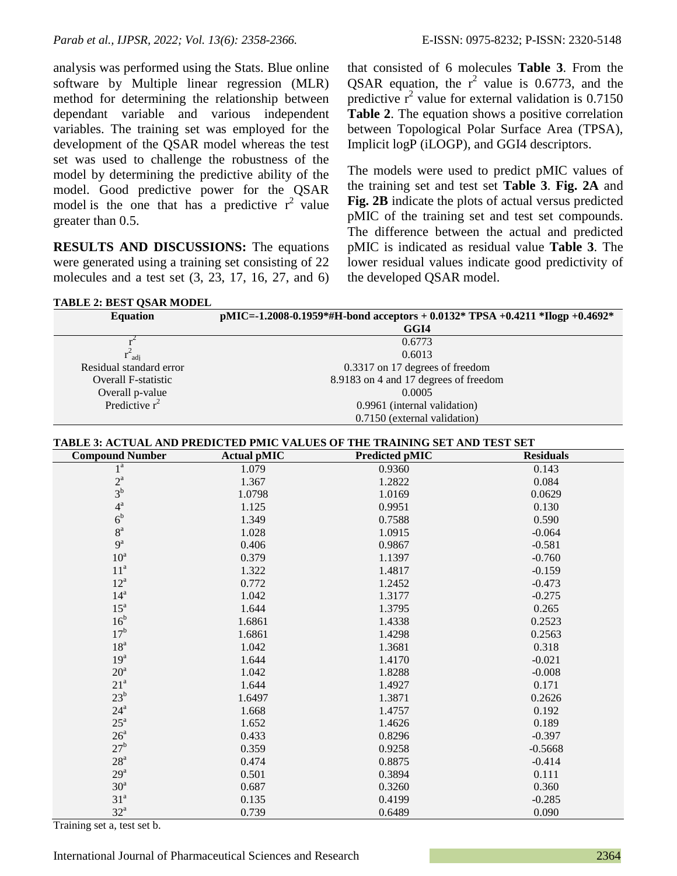analysis was performed using the Stats. Blue online software by Multiple linear regression (MLR) method for determining the relationship between dependant variable and various independent variables. The training set was employed for the development of the QSAR model whereas the test set was used to challenge the robustness of the model by determining the predictive ability of the model. Good predictive power for the QSAR model is the one that has a predictive  $r^2$  value greater than 0.5.

**RESULTS AND DISCUSSIONS:** The equations were generated using a training set consisting of 22 molecules and a test set (3, 23, 17, 16, 27, and 6)

**TABLE 2: BEST QSAR MODEL**

that consisted of 6 molecules **Table 3**. From the QSAR equation, the  $r^2$  value is 0.6773, and the predictive  $r^2$  value for external validation is 0.7150 **Table 2**. The equation shows a positive correlation between Topological Polar Surface Area (TPSA), Implicit logP (iLOGP), and GGI4 descriptors.

The models were used to predict pMIC values of the training set and test set **[Table 3](https://www.mdpi.com/1422-0067/12/3/1605/htm#table_body_display_t2-ijms-12-01605)**. **Fig. 2A** and **Fig. 2B** indicate the plots of actual versus predicted pMIC of the training set and test set compounds. The difference between the actual and predicted pMIC is indicated as residual value **Table 3**. The lower residual values indicate good predictivity of the developed QSAR model.

| <b>IADLE 2: DEST USAR MUDEL</b> |                                                                              |
|---------------------------------|------------------------------------------------------------------------------|
| <b>Equation</b>                 | pMIC=-1.2008-0.1959*#H-bond acceptors + 0.0132* TPSA +0.4211 *Ilogp +0.4692* |
|                                 | GGI4                                                                         |
|                                 | 0.6773                                                                       |
| $\mathbf{r}^2$ adj              | 0.6013                                                                       |
| Residual standard error         | 0.3317 on 17 degrees of freedom                                              |
| <b>Overall F-statistic</b>      | 8.9183 on 4 and 17 degrees of freedom                                        |
| Overall p-value                 | 0.0005                                                                       |
| Predictive $r^2$                | 0.9961 (internal validation)                                                 |
|                                 | 0.7150 (external validation)                                                 |

#### **TABLE 3: ACTUAL AND PREDICTED PMIC VALUES OF THE TRAINING SET AND TEST SET**

| <b>Compound Number</b> | <b>Actual pMIC</b> | <b>Predicted pMIC</b> | <b>Residuals</b> |
|------------------------|--------------------|-----------------------|------------------|
| $1^a$                  | 1.079              | 0.9360                | 0.143            |
| $\frac{2^a}{3^b}$      | 1.367              | 1.2822                | 0.084            |
|                        | 1.0798             | 1.0169                | 0.0629           |
| $4^{\mathrm{a}}$       | 1.125              | 0.9951                | 0.130            |
| 6 <sup>b</sup>         | 1.349              | 0.7588                | 0.590            |
| 8 <sup>a</sup>         | 1.028              | 1.0915                | $-0.064$         |
| $9^a$                  | 0.406              | 0.9867                | $-0.581$         |
| $10^a$                 | 0.379              | 1.1397                | $-0.760$         |
| 11 <sup>a</sup>        | 1.322              | 1.4817                | $-0.159$         |
| $12^a$                 | 0.772              | 1.2452                | $-0.473$         |
| $14^a$                 | 1.042              | 1.3177                | $-0.275$         |
| $15^a$                 | 1.644              | 1.3795                | 0.265            |
| 16 <sup>b</sup>        | 1.6861             | 1.4338                | 0.2523           |
| 17 <sup>b</sup>        | 1.6861             | 1.4298                | 0.2563           |
| 18 <sup>a</sup>        | 1.042              | 1.3681                | 0.318            |
| 19 <sup>a</sup>        | 1.644              | 1.4170                | $-0.021$         |
| $20^{\rm a}$           | 1.042              | 1.8288                | $-0.008$         |
| 21 <sup>a</sup>        | 1.644              | 1.4927                | 0.171            |
| $23^b$                 | 1.6497             | 1.3871                | 0.2626           |
| $24^{\mathrm{a}}$      | 1.668              | 1.4757                | 0.192            |
| $25^{\mathrm{a}}$      | 1.652              | 1.4626                | 0.189            |
| 26 <sup>a</sup>        | 0.433              | 0.8296                | $-0.397$         |
| 27 <sup>b</sup>        | 0.359              | 0.9258                | $-0.5668$        |
| $28^{\rm a}$           | 0.474              | 0.8875                | $-0.414$         |
| $29^a$                 | 0.501              | 0.3894                | 0.111            |
| 30 <sup>a</sup>        | 0.687              | 0.3260                | 0.360            |
| 31 <sup>a</sup>        | 0.135              | 0.4199                | $-0.285$         |
| $32^a$                 | 0.739              | 0.6489                | 0.090            |

Training set a, test set b.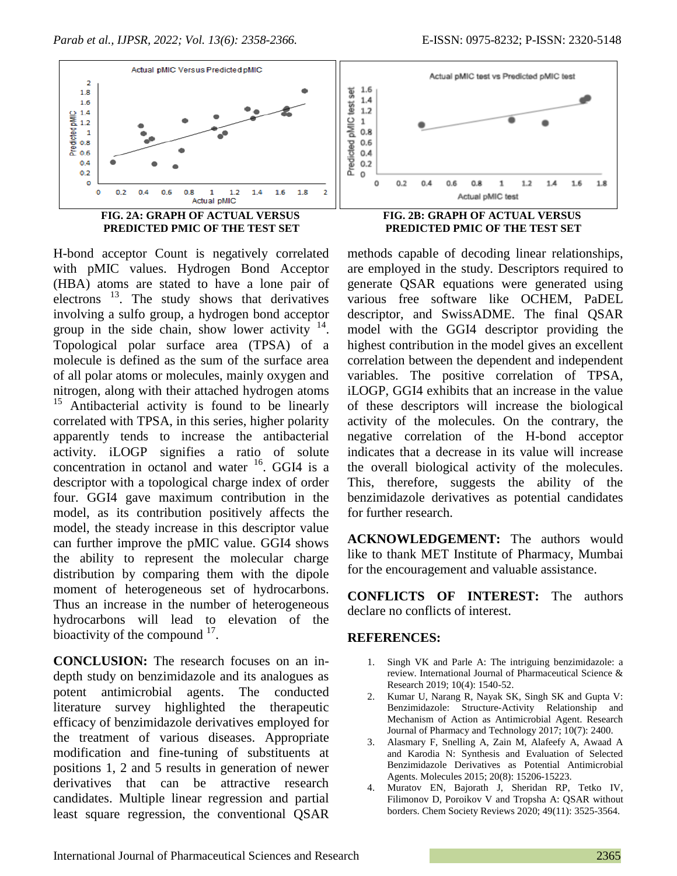

H-bond acceptor Count is negatively correlated with pMIC values. Hydrogen Bond Acceptor (HBA) atoms are stated to have a lone pair of electrons<sup>13</sup>. The study shows that derivatives involving a sulfo group, a hydrogen bond acceptor group in the side chain, show lower activity  $14$ . Topological polar surface area (TPSA) of a molecule is defined as the sum of the surface area of all polar atoms or molecules, mainly oxygen and nitrogen, along with their attached hydrogen atoms <sup>15</sup> Antibacterial activity is found to be linearly correlated with TPSA, in this series, higher polarity apparently tends to increase the antibacterial activity. iLOGP signifies a ratio of solute concentration in octanol and water  $16$ . GGI4 is a descriptor with a topological charge index of order four. GGI4 gave maximum contribution in the model, as its contribution positively affects the model, the steady increase in this descriptor value can further improve the pMIC value. GGI4 shows the ability to represent the molecular charge distribution by comparing them with the dipole moment of heterogeneous set of hydrocarbons. Thus an increase in the number of heterogeneous hydrocarbons will lead to elevation of the bioactivity of the compound  $17$ .

**CONCLUSION:** The research focuses on an indepth study on benzimidazole and its analogues as potent antimicrobial agents. The conducted literature survey highlighted the therapeutic efficacy of benzimidazole derivatives employed for the treatment of various diseases. Appropriate modification and fine-tuning of substituents at positions 1, 2 and 5 results in generation of newer derivatives that can be attractive research candidates. Multiple linear regression and partial least square regression, the conventional QSAR



methods capable of decoding linear relationships, are employed in the study. Descriptors required to generate QSAR equations were generated using various free software like OCHEM, PaDEL descriptor, and SwissADME. The final QSAR model with the GGI4 descriptor providing the highest contribution in the model gives an excellent correlation between the dependent and independent variables. The positive correlation of TPSA, iLOGP, GGI4 exhibits that an increase in the value of these descriptors will increase the biological activity of the molecules. On the contrary, the negative correlation of the H-bond acceptor indicates that a decrease in its value will increase the overall biological activity of the molecules. This, therefore, suggests the ability of the benzimidazole derivatives as potential candidates for further research.

**ACKNOWLEDGEMENT:** The authors would like to thank MET Institute of Pharmacy, Mumbai for the encouragement and valuable assistance.

**CONFLICTS OF INTEREST:** The authors declare no conflicts of interest.

### **REFERENCES:**

- 1. Singh VK and Parle A: The intriguing benzimidazole: a review. International Journal of Pharmaceutical Science & Research 2019; 10(4): 1540-52.
- 2. Kumar U, Narang R, Nayak SK, Singh SK and Gupta V: Benzimidazole: Structure-Activity Relationship and Mechanism of Action as Antimicrobial Agent. Research Journal of Pharmacy and Technology 2017; 10(7): 2400.
- 3. Alasmary F, Snelling A, Zain M, Alafeefy A, Awaad A and Karodia N: Synthesis and Evaluation of Selected Benzimidazole Derivatives as Potential Antimicrobial Agents. Molecules 2015; 20(8): 15206-15223.
- 4. Muratov EN, Bajorath J, Sheridan RP, Tetko IV, Filimonov D, Poroikov V and Tropsha A: QSAR without borders. Chem Society Reviews 2020; 49(11): 3525-3564.